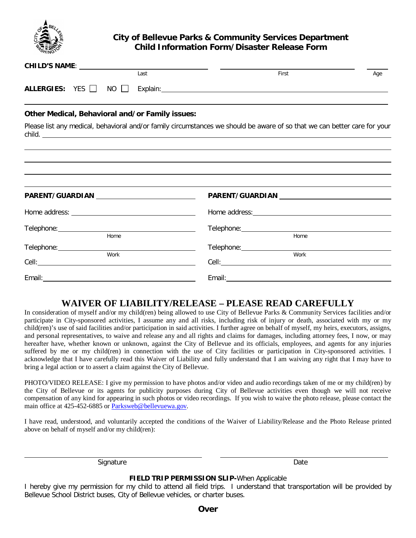

# **City of Bellevue Parks & Community Services Department Child Information Form/Disaster Release Form**

| Last                                            |  |  | First                                                                                                                     | Age  |  |  |  |  |
|-------------------------------------------------|--|--|---------------------------------------------------------------------------------------------------------------------------|------|--|--|--|--|
| ALLERGIES: $YES$ NO $\Box$                      |  |  |                                                                                                                           |      |  |  |  |  |
| Other Medical, Behavioral and/or Family issues: |  |  |                                                                                                                           |      |  |  |  |  |
|                                                 |  |  | Please list any medical, behavioral and/or family circumstances we should be aware of so that we can better care for your |      |  |  |  |  |
|                                                 |  |  |                                                                                                                           |      |  |  |  |  |
|                                                 |  |  |                                                                                                                           |      |  |  |  |  |
|                                                 |  |  |                                                                                                                           |      |  |  |  |  |
| PARENT/GUARDIAN _____________________________   |  |  |                                                                                                                           |      |  |  |  |  |
|                                                 |  |  |                                                                                                                           |      |  |  |  |  |
| Home                                            |  |  |                                                                                                                           |      |  |  |  |  |
|                                                 |  |  | Home                                                                                                                      |      |  |  |  |  |
|                                                 |  |  |                                                                                                                           |      |  |  |  |  |
| Work                                            |  |  |                                                                                                                           | Work |  |  |  |  |
|                                                 |  |  |                                                                                                                           |      |  |  |  |  |

# **WAIVER OF LIABILITY/RELEASE – PLEASE READ CAREFULLY**

In consideration of myself and/or my child(ren) being allowed to use City of Bellevue Parks & Community Services facilities and/or participate in City-sponsored activities, I assume any and all risks, including risk of injury or death, associated with my or my child(ren)'s use of said facilities and/or participation in said activities. I further agree on behalf of myself, my heirs, executors, assigns, and personal representatives, to waive and release any and all rights and claims for damages, including attorney fees, I now, or may hereafter have, whether known or unknown, against the City of Bellevue and its officials, employees, and agents for any injuries suffered by me or my child(ren) in connection with the use of City facilities or participation in City-sponsored activities. I acknowledge that I have carefully read this Waiver of Liability and fully understand that I am waiving any right that I may have to bring a legal action or to assert a claim against the City of Bellevue.

PHOTO/VIDEO RELEASE: I give my permission to have photos and/or video and audio recordings taken of me or my child(ren) by the City of Bellevue or its agents for publicity purposes during City of Bellevue activities even though we will not receive compensation of any kind for appearing in such photos or video recordings. If you wish to waive the photo release, please contact the main office at 425-452-6885 or Parksweb@bellevuewa.gov.

I have read, understood, and voluntarily accepted the conditions of the Waiver of Liability/Release and the Photo Release printed above on behalf of myself and/or my child(ren):

Signature Date

### **FIELD TRIP PERMISSION SLIP-***When Applicable*

I hereby give my permission for my child to attend all field trips. I understand that transportation will be provided by Bellevue School District buses, City of Bellevue vehicles, or charter buses.